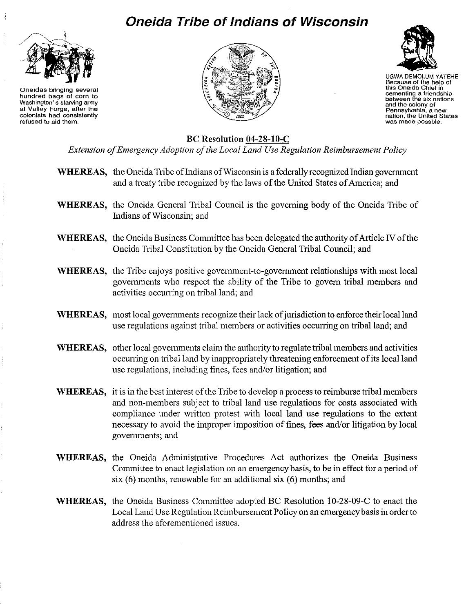## **Oneida Tribe of Indians of Wisconsin**



**Oneidas bringing several hundred bags of corn to Washington's starving army at Valley Forge, after the colonists had consistently refused to aid them.**





UGWA DEMOLUM YATEHE **Because of the help of this Oneida Chief in cementing a friendship between the six nations and** the colony **of Pennsylvania, a new nation, the United States was made possble.**

BC Resolution 04-28-10-C

*Extension ofEmergency Adoption ofthe Local Land Use Regulation Reimbursement Policy*

- WHEREAS, the Oneida Tribe of Indians of Wisconsin is a federally recognized Indian government and a treaty tribe recognized by the laws of the United States of America; and
- WHEREAS, the Oneida General Tribal Council is the governing body of the Oneida Tribe of Indians ofWisconsin; and
- WHEREAS, the Oneida Business Committee has been delegated the authority of Article IV of the Oneida Tribal Constitution by the Oneida General Tribal Council; and
- WHEREAS, the Tribe enjoys positive government-to-government relationships with most local governments who respect the ability of the Tribe to govern tribal members and activities occurring on tribal land; and
- WHEREAS, most local governments recognize their lack of jurisdiction to enforce their local land use regulations against tribal members or activities occurring on tribal land; and
- WHEREAS, other local governments claim the authority to regulate tribal members and activities occurring on tribal land by inappropriately threatening enforcement of its local land use regulations, including fines, fees and/or litigation; and
- WHEREAS, it is in the best interest of the Tribe to develop a process to reimburse tribal members and non-members subject to tribal land use regulations for costs associated with compliance under written protest with local land use regulations to the extent necessary to avoid the improper imposition of fines, fees and/or litigation by local governments; and
- WHEREAS, the Oneida Administrative Procedures Act authorizes the Oneida Business Committee to enact legislation on an emergency basis, to be in effect for a period of six (6) months, renewable for an additional six (6) months; and
- WHEREAS, the Oneida Business Committee adopted BC Resolution 10-28-09-C to enact the Local Land Use Regulation Reimbursement Policy on an emergency basis in order to address the aforementioned issues.